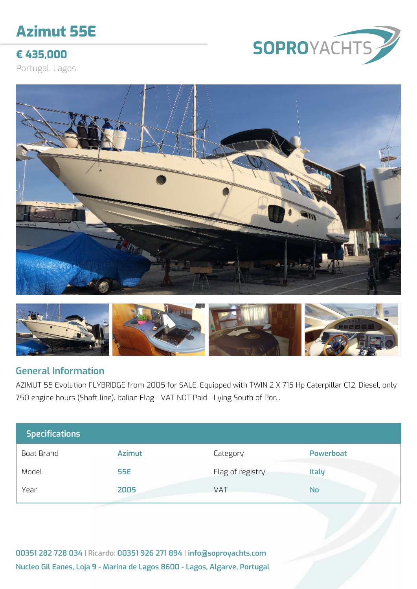# **Azimut 55E**

# **€ 435,000**

Portugal, Lagos







#### **General Information**

AZIMUT 55 Evolution FLYBRIDGE from 2005 for SALE. Equipped with TWIN 2 X 715 Hp Caterpillar C12, Diesel, only 750 engine hours (Shaft line). Italian Flag - VAT NOT Paid - Lying South of Por...

| <b>Specifications</b> |               |                  |                  |
|-----------------------|---------------|------------------|------------------|
| Boat Brand            | <b>Azimut</b> | Category         | <b>Powerboat</b> |
| Model                 | <b>55E</b>    | Flag of registry | <b>Italy</b>     |
| Year                  | 2005          | VAT              | <b>No</b>        |

**00351 282 728 034 | Ricardo: 00351 926 271 894 | info@soproyachts.com Nucleo Gil Eanes, Loja 9 - Marina de Lagos 8600 - Lagos, Algarve, Portugal**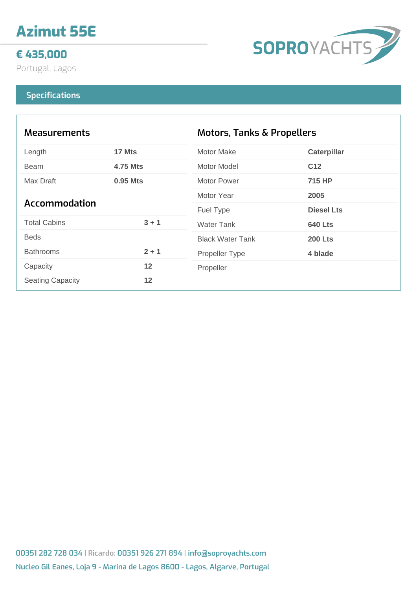# **Azimut 55E**

## **€ 435,000**

Portugal, Lagos

# SOPROYACHTS

#### **Specifications**

| <b>Measurements</b>     |                 | <b>Motors, Tanks &amp; Propellers</b> |                    |
|-------------------------|-----------------|---------------------------------------|--------------------|
| Length                  | 17 Mts          | <b>Motor Make</b>                     | <b>Caterpillar</b> |
| <b>Beam</b>             | <b>4.75 Mts</b> | Motor Model                           | C <sub>12</sub>    |
| Max Draft               | 0.95 Mts        | Motor Power                           | 715 HP             |
| <b>Accommodation</b>    |                 | Motor Year                            | 2005               |
|                         |                 | Fuel Type                             | <b>Diesel Lts</b>  |
| <b>Total Cabins</b>     | $3 + 1$         | <b>Water Tank</b>                     | <b>640 Lts</b>     |
| <b>Beds</b>             |                 | <b>Black Water Tank</b>               | <b>200 Lts</b>     |
| <b>Bathrooms</b>        | $2 + 1$         | <b>Propeller Type</b>                 | 4 blade            |
| Capacity                | 12              | Propeller                             |                    |
| <b>Seating Capacity</b> | 12              |                                       |                    |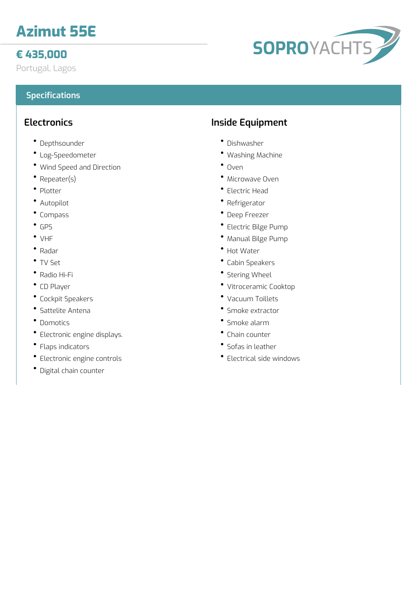# **Azimut 55E**

# **€ 435,000**

Portugal, Lagos

## **Specifications**

### **Electronics**

- Depthsounder
- Log-Speedometer
- Wind Speed and Direction
- Repeater(s)
- Plotter
- Autopilot
- Compass
- GPS
- VHF
- Radar
- TV Set
- Radio Hi-Fi
- CD Player
- Cockpit Speakers
- Sattelite Antena
- Domotics
- Electronic engine displays.
- Flaps indicators
- Electronic engine controls
- Digital chain counter

## **Inside Equipment**

- Dishwasher
- Washing Machine
- $^{\bullet}$  Oven
- Microwave Oven
- Electric Head
- Refrigerator
- Deep Freezer
- Electric Bilge Pump
- Manual Bilge Pump
- Hot Water
- Cabin Speakers
- Stering Wheel
- Vitroceramic Cooktop
- Vacuum Toillets
- Smoke extractor
- Smoke alarm
- Chain counter
- Sofas in leather
- Electrical side windows